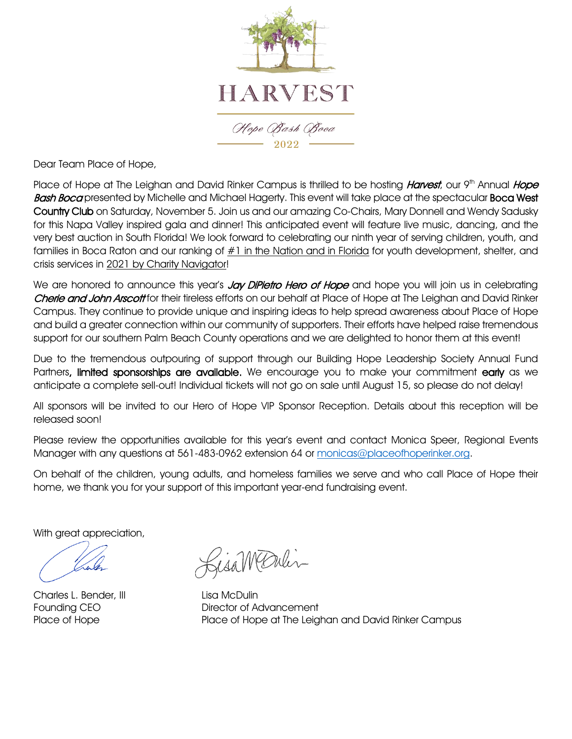

Dear Team Place of Hope,

Place of Hope at The Leighan and David Rinker Campus is thrilled to be hosting *Harvest*, our 9<sup>th</sup> Annual Hope Bash Boca presented by Michelle and Michael Hagerty. This event will take place at the spectacular Boca West Country Club on Saturday, November 5. Join us and our amazing Co-Chairs, Mary Donnell and Wendy Sadusky for this Napa Valley inspired gala and dinner! This anticipated event will feature live music, dancing, and the very best auction in South Florida! We look forward to celebrating our ninth year of serving children, youth, and families in Boca Raton and our ranking of  $#1$  in the Nation and in Florida for youth development, shelter, and crisis services in 2021 by Charity Navigator!

We are honored to announce this year's Jay DiPietro Hero of Hope and hope you will join us in celebrating Cherie and John Arscott for their tireless efforts on our behalf at Place of Hope at The Leighan and David Rinker Campus. They continue to provide unique and inspiring ideas to help spread awareness about Place of Hope and build a greater connection within our community of supporters. Their efforts have helped raise tremendous support for our southern Palm Beach County operations and we are delighted to honor them at this event!

Due to the tremendous outpouring of support through our Building Hope Leadership Society Annual Fund Partners, limited sponsorships are available. We encourage you to make your commitment early as we anticipate a complete sell-out! Individual tickets will not go on sale until August 15, so please do not delay!

All sponsors will be invited to our Hero of Hope VIP Sponsor Reception. Details about this reception will be released soon!

Please review the opportunities available for this year's event and contact Monica Speer, Regional Events Manager with any questions at 561-483-0962 extension 64 or [monicas@placeofhoperinker.org.](mailto:monicas@placeofhoperinker.org)

On behalf of the children, young adults, and homeless families we serve and who call Place of Hope their home, we thank you for your support of this important year-end fundraising event.

With great appreciation,

Charles L. Bender, III Lisa McDulin

Gisambulin

Founding CEO Director of Advancement Place of Hope Place of Hope at The Leighan and David Rinker Campus